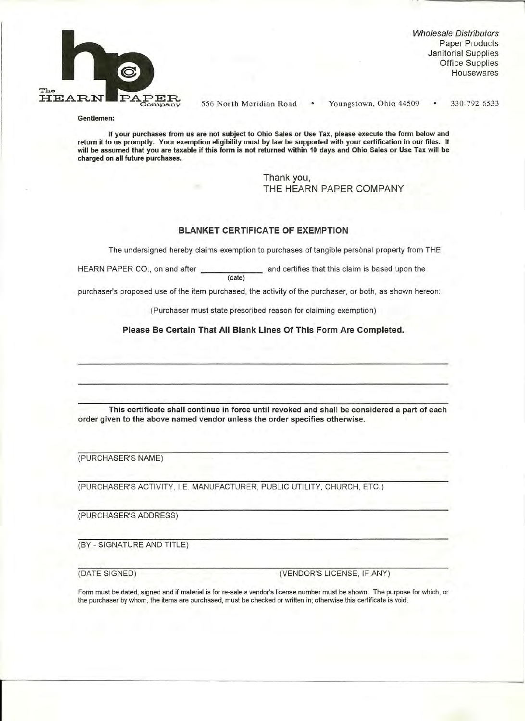

Wholesale Distributors Paper Products Janitorial Supplies Office Supplies **Housewares** 

556 North Meridian Road Youngstown, Ohio 44509 330-792-6533

**Gentlemen:** 

**If your purchases from us are not subject to Ohio Sales or Use Tax, please execute the form below and return it to us promptly. Your exemption eligibility must by law be supported with your certification in our files. It will be assumed that you are taxable if this form is not returned within 10 days and Ohio Sales or Use Tax will be charged on all future purchases.** 

> Thank you, THE HEARN PAPER COMPANY

## **BLANKET CERTIFICATE OF EXEMPTION**

The undersigned hereby claims exemption to purchases of tangible personal property from THE

HEARN PAPER CO., on and after **the and certifies that this claim is based upon the** (date)

purchaser's proposed use of the item purchased, the activity of the purchaser, or both, as shown hereon:

(Purchaser must state prescribed reason for claiming exemption)

**Please Be Certain That All Blank Lines Of This Form Are Completed.** 

**This certificate shall continue in force until revoked and shall be considered a part of each order given to the above named vendor unless the order specifies otherwise.** 

(PURCHASER'S NAME)

(PURCHASER'S ACTIVITY, I.E. MANUFACTURER, PUBLIC UTILITY, CHURCH, ETC.)

(PURCHASER'S ADDRESS)

(BY - SIGNATURE AND TITLE)

(DATE SIGNED) (VENDOR'S LICENSE, IF ANY)

Form must be dated, signed and if material is for re-sale a vendor's license number must be shown. The purpose for which, or the purchaser by whom, the items are purchased, must be checked or written in; otherwise this certificate is void.